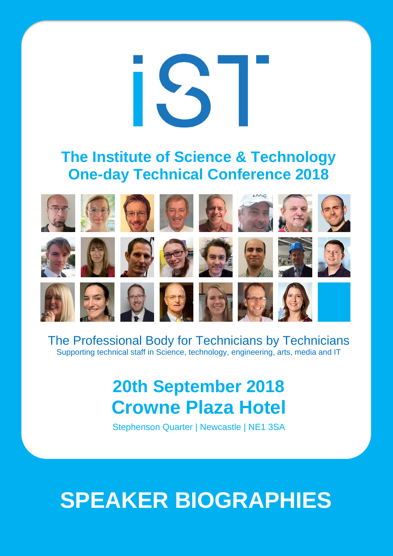

### **The Institute of Science & Technology One-day Technical Conference 2018**

















































The Professional Body for Technicians by Technicians Supporting technical staff in Science, technology, engineering, arts, media and IT

## **20th September 2018 Crowne Plaza Hotel**

Stephenson Quarter | Newcastle | NE1 3SA

# **SPEAKER BIOGRAPHIES**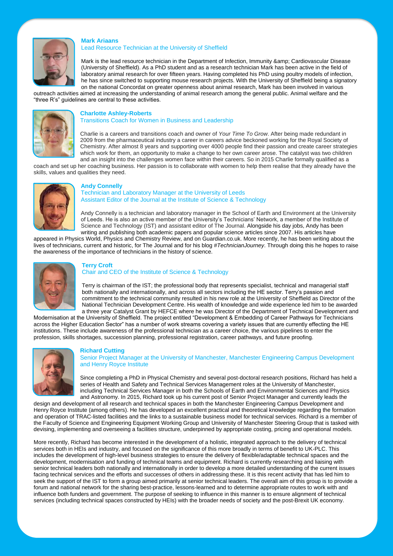

#### **Mark Ariaans** Lead Resource Technician at the University of Sheffield

Mark is the lead resource technician in the Department of Infection, Immunity & amp; Cardiovascular Disease (University of Sheffield). As a PhD student and as a research technician Mark has been active in the field of laboratory animal research for over fifteen years. Having completed his PhD using poultry models of infection, he has since switched to supporting mouse research projects. With the University of Sheffield being a signatory on the national Concordat on greater openness about animal research, Mark has been involved in various

outreach activities aimed at increasing the understanding of animal research among the general public. Animal welfare and the "three R's" guidelines are central to these activities.



#### **Charlotte Ashley-Roberts** Transitions Coach for Women in Business and Leadership

Charlie is a careers and transitions coach and owner of *Your Time To Grow*. After being made redundant in 2009 from the pharmaceutical industry a career in careers advice beckoned working for the Royal Society of Chemistry. After almost 8 years and supporting over 4000 people find their passion and create career strategies which work for them, an opportunity to make a change to her own career arose. The catalyst was two children and an insight into the challenges women face within their careers. So in 2015 Charlie formally qualified as a

coach and set up her coaching business. Her passion is to collaborate with women to help them realise that they already have the skills, values and qualities they need.



#### **Andy Connelly**

Technician and Laboratory Manager at the University of Leeds Assistant Editor of the Journal at the Institute of Science & Technology

Andy Connelly is a technician and laboratory manager in the School of Earth and Environment at the University of Leeds. He is also an active member of the University's Technicians' Network, a member of the Institute of Science and Technology (IST) and assistant editor of The Journal. Alongside his day jobs, Andy has been writing and publishing both academic papers and popular science articles since 2007. His articles have

appeared in Physics World, Physics and Chemistry Review, and on Guardian.co.uk. More recently, he has been writing about the lives of technicians, current and historic, for The Journal and for his blog *#TechnicianJourney*. Through doing this he hopes to raise the awareness of the importance of technicians in the history of science.



#### **Terry Croft**

Chair and CEO of the Institute of Science & Technology

Terry is chairman of the IST; the professional body that represents specialist, technical and managerial staff both nationally and internationally, and across all sectors including the HE sector. Terry's passion and commitment to the technical community resulted in his new role at the University of Sheffield as Director of the National Technician Development Centre. His wealth of knowledge and wide experience led him to be awarded a three year Catalyst Grant by HEFCE where he was Director of the Department of Technical Development and

Modernisation at the University of Sheffield. The project entitled "Development & Embedding of Career Pathways for Technicians across the Higher Education Sector" has a number of work streams covering a variety issues that are currently effecting the HE institutions. These include awareness of the professional technician as a career choice, the various pipelines to enter the profession, skills shortages, succession planning, professional registration, career pathways, and future proofing.



#### **Richard Cutting**

Senior Project Manager at the University of Manchester, Manchester Engineering Campus Development and Henry Royce Institute

Since completing a PhD in Physical Chemistry and several post-doctoral research positions, Richard has held a series of Health and Safety and Technical Services Management roles at the University of Manchester, including Technical Services Manager in both the Schools of Earth and Environmental Sciences and Physics and Astronomy. In 2015, Richard took up his current post of Senior Project Manager and currently leads the

design and development of all research and technical spaces in both the Manchester Engineering Campus Development and Henry Royce Institute (among others). He has developed an excellent practical and theoretical knowledge regarding the formation and operation of TRAC-listed facilities and the links to a sustainable business model for technical services. Richard is a member of the Faculty of Science and Engineering Equipment Working Group and University of Manchester Steering Group that is tasked with devising, implementing and overseeing a facilities structure, underpinned by appropriate costing, pricing and operational models.

More recently, Richard has become interested in the development of a holistic, integrated approach to the delivery of technical services both in HEIs and industry, and focused on the significance of this more broadly in terms of benefit to UK-PLC. This includes the development of high-level business strategies to ensure the delivery of flexible/adaptable technical spaces and the development, modernisation and funding of technical teams and equipment. Richard is currently researching and liaising with senior technical leaders both nationally and internationally in order to develop a more detailed understanding of the current issues facing technical services and the efforts and successes of others in addressing these. It is this recent activity that has led him to seek the support of the IST to form a group aimed primarily at senior technical leaders. The overall aim of this group is to provide a forum and national network for the sharing best-practice, lessons-learned and to determine appropriate routes to work with and influence both funders and government. The purpose of seeking to influence in this manner is to ensure alignment of technical services (including technical spaces constructed by HEIs) with the broader needs of society and the post-Brexit UK economy.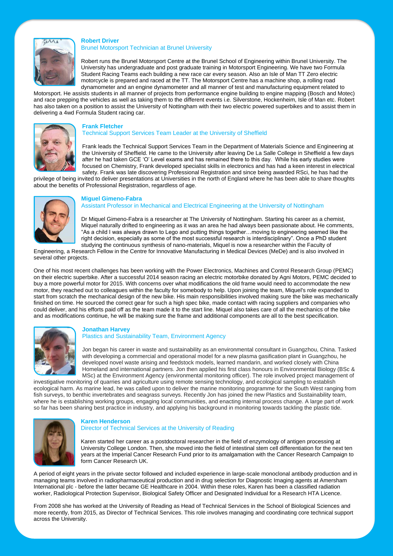

#### **Robert Driver**

Brunel Motorsport Technician at Brunel University

Robert runs the Brunel Motorsport Centre at the Brunel School of Engineering within Brunel University. The University has undergraduate and post graduate training in Motorsport Engineering. We have two Formula Student Racing Teams each building a new race car every season. Also an Isle of Man TT Zero electric motorcycle is prepared and raced at the TT. The Motorsport Centre has a machine shop, a rolling road dynamometer and an engine dynamometer and all manner of test and manufacturing equipment related to

Motorsport. He assists students in all manner of projects from performance engine building to engine mapping (Bosch and Motec) and race prepping the vehicles as well as taking them to the different events i.e. Silverstone, Hockenheim, Isle of Man etc. Robert has also taken on a position to assist the University of Nottingham with their two electric powered superbikes and to assist them in delivering a 4wd Formula Student racing car.



#### **Frank Fletcher**

#### Technical Support Services Team Leader at the University of Sheffield

Frank leads the Technical Support Services Team in the Department of Materials Science and Engineering at the University of Sheffield. He came to the University after leaving De La Salle College in Sheffield a few days after he had taken GCE 'O' Level exams and has remained there to this day. While his early studies were focused on Chemistry, Frank developed specialist skills in electronics and has had a keen interest in electrical safety. Frank was late discovering Professional Registration and since being awarded RSci, he has had the

privilege of being invited to deliver presentations at Universities in the north of England where he has been able to share thoughts about the benefits of Professional Registration, regardless of age.



#### **Miguel Gimeno-Fabra**

Assistant Professor in Mechanical and Electrical Engineering at the University of Nottingham

Dr Miquel Gimeno-Fabra is a researcher at The University of Nottingham. Starting his career as a chemist, Miquel naturally drifted to engineering as it was an area he had always been passionate about. He comments, "As a child I was always drawn to Lego and putting things together…moving to engineering seemed like the right decision, especially as some of the most successful research is interdisciplinary". Once a PhD student studying the continuous synthesis of nano-materials, Miquel is now a researcher within the Faculty of

Engineering, a Research Fellow in the Centre for Innovative Manufacturing in Medical Devices (MeDe) and is also involved in several other projects.

One of his most recent challenges has been working with the Power Electronics, Machines and Control Research Group (PEMC) on their electric superbike. After a successful 2014 season racing an electric motorbike donated by Agni Motors, PEMC decided to buy a more powerful motor for 2015. With concerns over what modifications the old frame would need to accommodate the new motor, they reached out to colleagues within the faculty for somebody to help. Upon joining the team, Miquel's role expanded to start from scratch the mechanical design of the new bike. His main responsibilities involved making sure the bike was mechanically finished on time. He sourced the correct gear for such a high spec bike, made contact with racing suppliers and companies who could deliver, and his efforts paid off as the team made it to the start line. Miquel also takes care of all the mechanics of the bike and as modifications continue, he will be making sure the frame and additional components are all to the best specification.



#### **Jonathan Harvey** Plastics and Sustainability Team, Environment Agency

Jon began his career in waste and sustainability as an environmental consultant in Guangzhou, China. Tasked with developing a commercial and operational model for a new plasma gasification plant in Guangzhou, he developed novel waste arising and feedstock models, learned mandarin, and worked closely with China Homeland and international partners. Jon then applied his first class honours in Environmental Biology (BSc & MSc) at the Environment Agency (environmental monitoring officer). The role involved project management of

investigative monitoring of quarries and agriculture using remote sensing technology, and ecological sampling to establish ecological harm. As marine lead, he was called upon to deliver the marine monitoring programme for the South West ranging from fish surveys, to benthic invertebrates and seagrass surveys. Recently Jon has joined the new Plastics and Sustainability team, where he is establishing working groups, engaging local communities, and enacting internal process change. A large part of work so far has been sharing best practice in industry, and applying his background in monitoring towards tackling the plastic tide.



#### **Karen Henderson**

Director of Technical Services at the University of Reading

Karen started her career as a postdoctoral researcher in the field of enzymology of antigen processing at University College London. Then, she moved into the field of intestinal stem cell differentiation for the next ten years at the Imperial Cancer Research Fund prior to its amalgamation with the Cancer Research Campaign to form Cancer Research UK.

A period of eight years in the private sector followed and included experience in large-scale monoclonal antibody production and in managing teams involved in radiopharmaceutical production and in drug selection for Diagnostic Imaging agents at Amersham International plc - before the latter became GE Healthcare in 2004. Within these roles, Karen has been a classified radiation worker, Radiological Protection Supervisor, Biological Safety Officer and Designated Individual for a Research HTA Licence.

From 2008 she has worked at the University of Reading as Head of Technical Services in the School of Biological Sciences and more recently, from 2015, as Director of Technical Services. This role involves managing and coordinating core technical support across the University.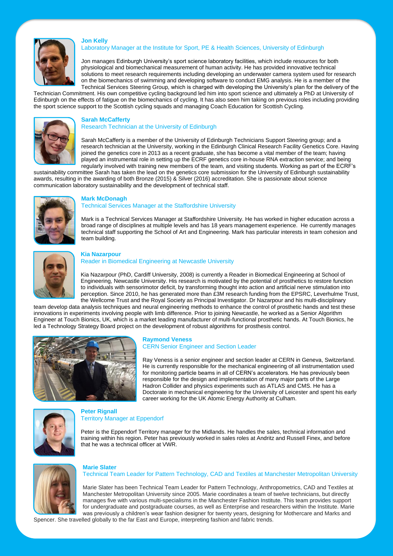

#### Laboratory Manager at the Institute for Sport, PE & Health Sciences, University of Edinburgh

Jon manages Edinburgh University's sport science laboratory facilities, which include resources for both physiological and biomechanical measurement of human activity. He has provided innovative technical solutions to meet research requirements including developing an underwater camera system used for research on the biomechanics of swimming and developing software to conduct EMG analysis. He is a member of the Technical Services Steering Group, which is charged with developing the University's plan for the delivery of the

Technician Commitment. His own competitive cycling background led him into sport science and ultimately a PhD at University of Edinburgh on the effects of fatigue on the biomechanics of cycling. It has also seen him taking on previous roles including providing the sport science support to the Scottish cycling squads and managing Coach Education for Scottish Cycling.



#### **Sarah McCafferty**

**Jon Kelly**

Research Technician at the University of Edinburgh

Sarah McCafferty is a member of the University of Edinburgh Technicians Support Steering group; and a research technician at the University, working in the Edinburgh Clinical Research Facility Genetics Core. Having joined the genetics core in 2013 as a recent graduate, she has become a vital member of the team; having played an instrumental role in setting up the ECRF genetics core in-house RNA extraction service; and being regularly involved with training new members of the team, and visiting students. Working as part of the ECRF's

sustainability committee Sarah has taken the lead on the genetics core submission for the University of Edinburgh sustainability awards, resulting in the awarding of both Bronze (2015) & Silver (2016) accreditation. She is passionate about science communication laboratory sustainability and the development of technical staff.



#### **Mark McDonagh**

#### Technical Services Manager at the Staffordshire University

Mark is a Technical Services Manager at Staffordshire University. He has worked in higher education across a broad range of disciplines at multiple levels and has 18 years management experience. He currently manages technical staff supporting the School of Art and Engineering. Mark has particular interests in team cohesion and team building.



#### **Kia Nazarpour**

#### Reader in Biomedical Engineering at Newcastle University

Kia Nazarpour (PhD, Cardiff University, 2008) is currently a Reader in Biomedical Engineering at School of Engineering, Newcastle University. His research is motivated by the potential of prosthetics to restore function to individuals with sensorimotor deficit, by transforming thought into action and artificial nerve stimulation into perception. Since 2010, he has generated more than £3M research funding from the EPSRC, Leverhulme Trust, the Wellcome Trust and the Royal Society as Principal Investigator. Dr Nazarpour and his multi-disciplinary

team develop data analysis techniques and neural engineering methods to enhance the control of prosthetic hands and test these innovations in experiments involving people with limb difference. Prior to joining Newcastle, he worked as a Senior Algorithm Engineer at Touch Bionics, UK, which is a market leading manufacturer of multi-functional prosthetic hands. At Touch Bionics, he led a Technology Strategy Board project on the development of robust algorithms for prosthesis control.



#### **Raymond Veness** CERN Senior Engineer and Section Leader

Ray Veness is a senior engineer and section leader at CERN in Geneva, Switzerland. He is currently responsible for the mechanical engineering of all instrumentation used for monitoring particle beams in all of CERN's accelerators. He has previously been responsible for the design and implementation of many major parts of the Large Hadron Collider and physics experiments such as ATLAS and CMS. He has a Doctorate in mechanical engineering for the University of Leicester and spent his early career working for the UK Atomic Energy Authority at Culham.



#### **Peter Rignall** Territory Manager at Eppendorf

**Marie Slater**

Peter is the Eppendorf Territory manager for the Midlands. He handles the sales, technical information and training within his region. Peter has previously worked in sales roles at Andritz and Russell Finex, and before that he was a technical officer at VWR.



Technical Team Leader for Pattern Technology, CAD and Textiles at Manchester Metropolitan University

Marie Slater has been Technical Team Leader for Pattern Technology, Anthropometrics, CAD and Textiles at Manchester Metropolitan University since 2005. Marie coordinates a team of twelve technicians, but directly manages five with various multi-specialisms in the Manchester Fashion Institute. This team provides support for undergraduate and postgraduate courses, as well as Enterprise and researchers within the Institute. Marie was previously a children's wear fashion designer for twenty years, designing for Mothercare and Marks and

Spencer. She travelled globally to the far East and Europe, interpreting fashion and fabric trends.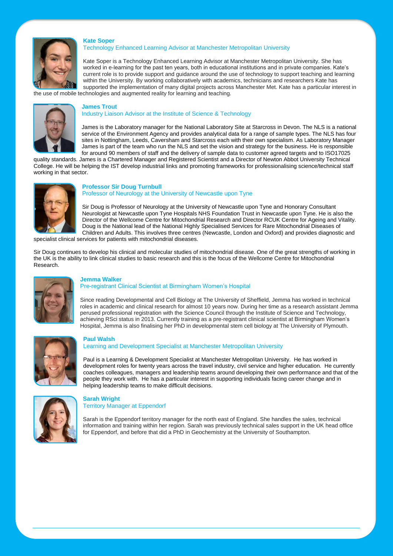

#### Technology Enhanced Learning Advisor at Manchester Metropolitan University

Kate Soper is a Technology Enhanced Learning Advisor at Manchester Metropolitan University. She has worked in e-learning for the past ten years, both in educational institutions and in private companies. Kate's current role is to provide support and guidance around the use of technology to support teaching and learning within the University. By working collaboratively with academics, technicians and researchers Kate has supported the implementation of many digital projects across Manchester Met. Kate has a particular interest in the use of mobile technologies and augmented reality for learning and teaching.

#### **James Trout**

**Kate Soper**

Industry Liaison Advisor at the Institute of Science & Technology

James is the Laboratory manager for the National Laboratory Site at Starcross in Devon. The NLS is a national service of the Environment Agency and provides analytical data for a range of sample types. The NLS has four sites in Nottingham, Leeds, Caversham and Starcross each with their own specialism. As Laboratory Manager James is part of the team who run the NLS and set the vision and strategy for the business. He is responsible for around 90 members of staff and the delivery of sample data to customer agreed targets and to ISO17025

quality standards. James is a Chartered Manager and Registered Scientist and a Director of Newton Abbot University Technical College. He will be helping the IST develop industrial links and promoting frameworks for professionalising science/technical staff working in that sector.



#### **Professor Sir Doug Turnbull** Professor of Neurology at the University of Newcastle upon Tyne

Sir Doug is Professor of Neurology at the University of Newcastle upon Tyne and Honorary Consultant Neurologist at Newcastle upon Tyne Hospitals NHS Foundation Trust in Newcastle upon Tyne. He is also the Director of the Wellcome Centre for Mitochondrial Research and Director RCUK Centre for Ageing and Vitality. Doug is the National lead of the National Highly Specialised Services for Rare Mitochondrial Diseases of Children and Adults. This involves three centres (Newcastle, London and Oxford) and provides diagnostic and

specialist clinical services for patients with mitochondrial diseases.

Sir Doug continues to develop his clinical and molecular studies of mitochondrial disease. One of the great strengths of working in the UK is the ability to link clinical studies to basic research and this is the focus of the Wellcome Centre for Mitochondrial Research.



#### **Jemma Walker**

Pre-registrant Clinical Scientist at Birmingham Women's Hospital

Since reading Developmental and Cell Biology at The University of Sheffield, Jemma has worked in technical roles in academic and clinical research for almost 10 years now. During her time as a research assistant Jemma perused professional registration with the Science Council through the Institute of Science and Technology, achieving RSci status in 2013. Currently training as a pre-registrant clinical scientist at Birmingham Women's Hospital, Jemma is also finalising her PhD in developmental stem cell biology at The University of Plymouth.



#### **Paul Walsh**

Learning and Development Specialist at Manchester Metropolitan University

Paul is a Learning & Development Specialist at Manchester Metropolitan University. He has worked in development roles for twenty years across the travel industry, civil service and higher education. He currently coaches colleagues, managers and leadership teams around developing their own performance and that of the people they work with. He has a particular interest in supporting individuals facing career change and in helping leadership teams to make difficult decisions.



#### **Sarah Wright** Territory Manager at Eppendorf

Sarah is the Eppendorf territory manager for the north east of England. She handles the sales, technical information and training within her region. Sarah was previously technical sales support in the UK head office for Eppendorf, and before that did a PhD in Geochemistry at the University of Southampton.